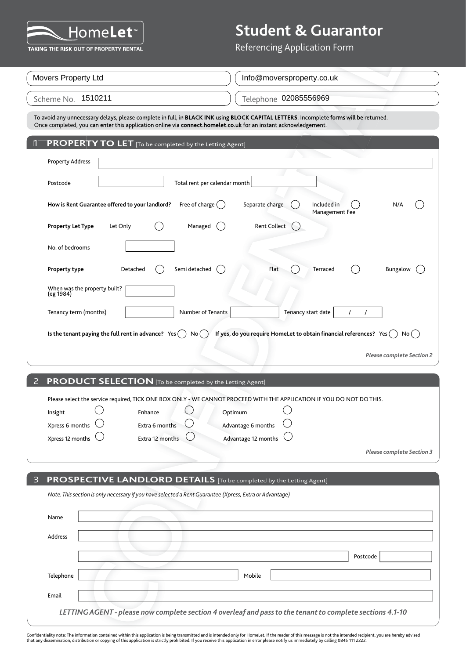

| 1911 C<br>TAKING THE RISK OUT OF PROPERTY RENTAL                                                                                                                                                                                                          | Referencing Application Form                                                                              |
|-----------------------------------------------------------------------------------------------------------------------------------------------------------------------------------------------------------------------------------------------------------|-----------------------------------------------------------------------------------------------------------|
| Movers Property Ltd                                                                                                                                                                                                                                       | Info@moversproperty.co.uk                                                                                 |
|                                                                                                                                                                                                                                                           |                                                                                                           |
| Scheme No. 1510211                                                                                                                                                                                                                                        | Telephone 02085556969                                                                                     |
| To avoid any unnecessary delays, please complete in full, in BLACK INK using BLOCK CAPITAL LETTERS. Incomplete forms will be returned.<br>Once completed, you can enter this application online via connect.homelet.co.uk for an instant acknowledgement. |                                                                                                           |
| PROPERTY TO LET [To be completed by the Letting Agent]                                                                                                                                                                                                    |                                                                                                           |
| <b>Property Address</b>                                                                                                                                                                                                                                   |                                                                                                           |
| Total rent per calendar month<br>Postcode                                                                                                                                                                                                                 |                                                                                                           |
| Free of charge $($ )<br>How is Rent Guarantee offered to your landlord?                                                                                                                                                                                   | Included in<br>Separate charge<br>N/A<br>Management Fee                                                   |
| Managed<br><b>Property Let Type</b><br>Let Only                                                                                                                                                                                                           | <b>Rent Collect</b>                                                                                       |
| No. of bedrooms                                                                                                                                                                                                                                           |                                                                                                           |
| Semi detached<br>Detached<br>Property type                                                                                                                                                                                                                | Flat<br>Terraced<br>Bungalow                                                                              |
| When was the property built?<br>(eg 1984)                                                                                                                                                                                                                 |                                                                                                           |
| Number of Tenants<br>Tenancy term (months)                                                                                                                                                                                                                | Tenancy start date<br>$\prime$                                                                            |
| Is the tenant paying the full rent in advance? $Yes( )$<br>No(                                                                                                                                                                                            | If yes, do you require HomeLet to obtain financial references? $Yes( )$<br>No(                            |
|                                                                                                                                                                                                                                                           | Please complete Section 2                                                                                 |
|                                                                                                                                                                                                                                                           |                                                                                                           |
| <b>PRODUCT SELECTION</b> [To be completed by the Letting Agent]<br>2                                                                                                                                                                                      |                                                                                                           |
| Please select the service required, TICK ONE BOX ONLY - WE CANNOT PROCEED WITH THE APPLICATION IF YOU DO NOT DO THIS.<br>Enhance<br>Insight                                                                                                               | Optimum                                                                                                   |
| Xpress 6 months<br>Extra 6 months                                                                                                                                                                                                                         | Advantage 6 months                                                                                        |
| Xpress 12 months<br>Extra 12 months                                                                                                                                                                                                                       | Advantage 12 months                                                                                       |
|                                                                                                                                                                                                                                                           | <b>Please complete Section 3</b>                                                                          |
|                                                                                                                                                                                                                                                           |                                                                                                           |
| PROSPECTIVE LANDLORD DETAILS [To be completed by the Letting Agent]<br>Note: This section is only necessary if you have selected a Rent Guarantee (Xpress, Extra or Advantage)                                                                            |                                                                                                           |
|                                                                                                                                                                                                                                                           |                                                                                                           |
| Name                                                                                                                                                                                                                                                      |                                                                                                           |
| Address                                                                                                                                                                                                                                                   |                                                                                                           |
|                                                                                                                                                                                                                                                           | Postcode                                                                                                  |
| Telephone                                                                                                                                                                                                                                                 | Mobile                                                                                                    |
|                                                                                                                                                                                                                                                           |                                                                                                           |
| Email                                                                                                                                                                                                                                                     |                                                                                                           |
|                                                                                                                                                                                                                                                           | LETTING AGENT - please now complete section 4 overleaf and pass to the tenant to complete sections 4.1-10 |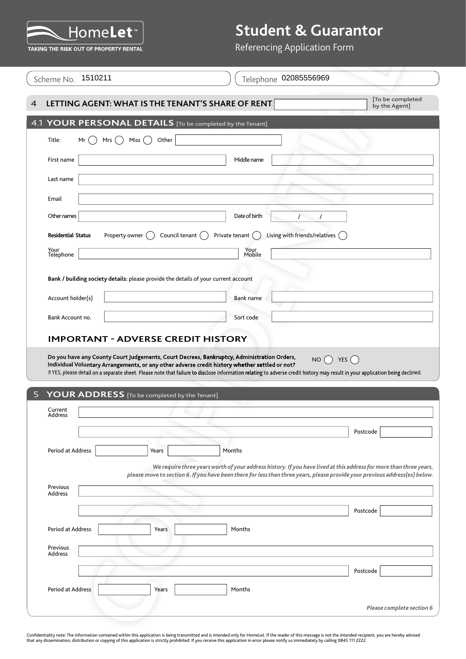

| Scheme No. 1510211                                                                  |                 | Telephone 02085556969                                                                                                                                                                                                                                                                                                                                                         |                                  |
|-------------------------------------------------------------------------------------|-----------------|-------------------------------------------------------------------------------------------------------------------------------------------------------------------------------------------------------------------------------------------------------------------------------------------------------------------------------------------------------------------------------|----------------------------------|
| LETTING AGENT: WHAT IS THE TENANT'S SHARE OF RENT                                   |                 |                                                                                                                                                                                                                                                                                                                                                                               | To be completed<br>by the Agent] |
| YOUR PERSONAL DETAILS [To be completed by the Tenant]                               |                 |                                                                                                                                                                                                                                                                                                                                                                               |                                  |
| Mrs $($ )<br>Title:<br>Mr                                                           | Miss()<br>Other |                                                                                                                                                                                                                                                                                                                                                                               |                                  |
| First name                                                                          |                 | Middle name                                                                                                                                                                                                                                                                                                                                                                   |                                  |
| Last name                                                                           |                 |                                                                                                                                                                                                                                                                                                                                                                               |                                  |
| Email                                                                               |                 |                                                                                                                                                                                                                                                                                                                                                                               |                                  |
| Other names                                                                         |                 | Date of birth<br>$\prime$                                                                                                                                                                                                                                                                                                                                                     | $\prime$                         |
| <b>Residential Status</b><br>Property owner (                                       | Council tenant  | Living with friends/relatives $($ )<br>Private tenant                                                                                                                                                                                                                                                                                                                         |                                  |
| Your<br>Telephone                                                                   |                 | Your<br>Mobile                                                                                                                                                                                                                                                                                                                                                                |                                  |
| Bank / building society details: please provide the details of your current account |                 |                                                                                                                                                                                                                                                                                                                                                                               |                                  |
| Account holder(s)                                                                   |                 | Bank name                                                                                                                                                                                                                                                                                                                                                                     |                                  |
|                                                                                     |                 |                                                                                                                                                                                                                                                                                                                                                                               |                                  |
|                                                                                     |                 |                                                                                                                                                                                                                                                                                                                                                                               |                                  |
| Bank Account no.<br><b>IMPORTANT - ADVERSE CREDIT HISTORY</b>                       |                 | Sort code                                                                                                                                                                                                                                                                                                                                                                     |                                  |
|                                                                                     |                 | Do you have any County Court Judgements, Court Decrees, Bankruptcy, Administration Orders,<br>Individual Voluntary Arrangements, or any other adverse credit history whether settled or not?<br>If YES, please detail on a separate sheet. Please note that failure to disclose information relating to adverse credit history may result in your application being declined. | YES $($<br>NO()                  |
| YOUR ADDRESS [To be completed by the Tenant]<br>Current<br>Address                  |                 |                                                                                                                                                                                                                                                                                                                                                                               |                                  |
|                                                                                     | Years           | Months                                                                                                                                                                                                                                                                                                                                                                        | Postcode                         |
|                                                                                     |                 | We require three years worth of your address history. If you have lived at this address for more than three years,                                                                                                                                                                                                                                                            |                                  |
| Previous                                                                            |                 | please move to section 6. If you have been there for less than three years, please provide your previous address(es) below.                                                                                                                                                                                                                                                   |                                  |
| Address                                                                             |                 |                                                                                                                                                                                                                                                                                                                                                                               |                                  |
| Period at Address                                                                   | Years           | Months                                                                                                                                                                                                                                                                                                                                                                        | Postcode                         |
| Previous                                                                            |                 |                                                                                                                                                                                                                                                                                                                                                                               |                                  |
| Address                                                                             |                 |                                                                                                                                                                                                                                                                                                                                                                               |                                  |
| Period at Address                                                                   |                 |                                                                                                                                                                                                                                                                                                                                                                               | Postcode                         |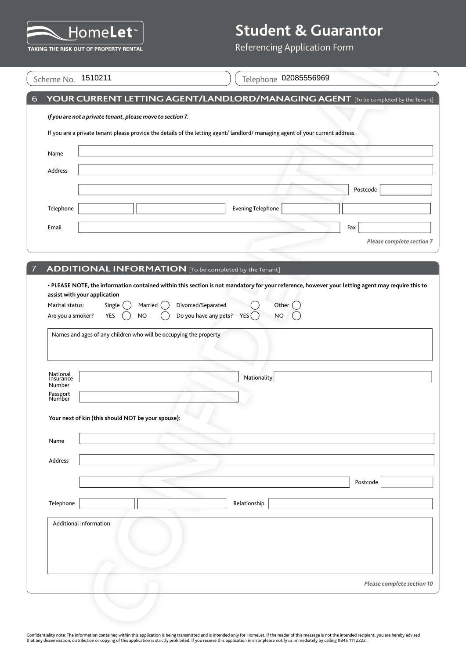

| Scheme No. | 1510211 |
|------------|---------|
|------------|---------|

|                        |                                                    |                                                                   |                                     | Referencing Application Form                                                                                                   |  |          |                            |
|------------------------|----------------------------------------------------|-------------------------------------------------------------------|-------------------------------------|--------------------------------------------------------------------------------------------------------------------------------|--|----------|----------------------------|
|                        |                                                    |                                                                   |                                     |                                                                                                                                |  |          |                            |
| Scheme No. 1510211     |                                                    |                                                                   |                                     | Telephone 02085556969                                                                                                          |  |          |                            |
|                        |                                                    |                                                                   |                                     | YOUR CURRENT LETTING AGENT/LANDLORD/MANAGING AGENT [To be completed by the Tenant]                                             |  |          |                            |
|                        |                                                    | If you are not a private tenant, please move to section 7.        |                                     |                                                                                                                                |  |          |                            |
|                        |                                                    |                                                                   |                                     | If you are a private tenant please provide the details of the letting agent/ landlord/ managing agent of your current address. |  |          |                            |
|                        |                                                    |                                                                   |                                     |                                                                                                                                |  |          |                            |
|                        |                                                    |                                                                   |                                     |                                                                                                                                |  |          |                            |
|                        |                                                    |                                                                   |                                     |                                                                                                                                |  | Postcode |                            |
|                        |                                                    |                                                                   |                                     | <b>Evening Telephone</b>                                                                                                       |  |          |                            |
|                        |                                                    |                                                                   |                                     |                                                                                                                                |  |          |                            |
|                        |                                                    |                                                                   |                                     |                                                                                                                                |  | Fax      | Please complete section 7  |
|                        |                                                    |                                                                   |                                     |                                                                                                                                |  |          |                            |
|                        |                                                    |                                                                   |                                     | <b>ADDITIONAL INFORMATION</b> [To be completed by the Tenant]                                                                  |  |          |                            |
|                        |                                                    | Names and ages of any children who will be occupying the property | Do you have any pets? YES $\bigcap$ |                                                                                                                                |  |          |                            |
|                        |                                                    |                                                                   |                                     | Nationality                                                                                                                    |  |          |                            |
|                        |                                                    |                                                                   |                                     |                                                                                                                                |  |          |                            |
|                        |                                                    |                                                                   |                                     |                                                                                                                                |  |          |                            |
|                        | Your next of kin (this should NOT be your spouse): |                                                                   |                                     |                                                                                                                                |  |          |                            |
|                        |                                                    |                                                                   |                                     |                                                                                                                                |  |          |                            |
|                        |                                                    |                                                                   |                                     |                                                                                                                                |  |          |                            |
|                        |                                                    |                                                                   |                                     |                                                                                                                                |  |          |                            |
|                        |                                                    |                                                                   |                                     |                                                                                                                                |  | Postcode |                            |
|                        |                                                    |                                                                   |                                     | Relationship                                                                                                                   |  |          |                            |
| Additional information |                                                    |                                                                   |                                     |                                                                                                                                |  |          |                            |
|                        |                                                    |                                                                   |                                     |                                                                                                                                |  |          | Please complete section 10 |
|                        |                                                    |                                                                   |                                     |                                                                                                                                |  |          |                            |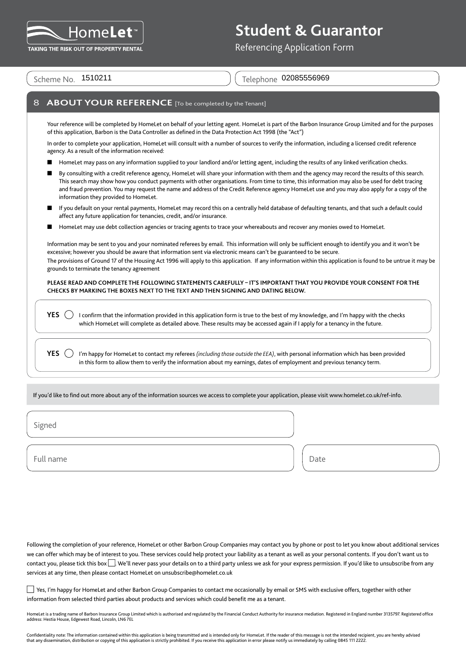

Referencing Application Form

Scheme No. 1510211

Telephone 02085556969

### **ABOUT YOUR REFERENCE** [To be completed by the Tenant]

Your reference will be completed by HomeLet on behalf of your letting agent. HomeLet is part of the Barbon Insurance Group Limited and for the purposes of this application, Barbon is the Data Controller as defined in the Data Protection Act 1998 (the "Act")

In order to complete your application, HomeLet will consult with a number of sources to verify the information, including a licensed credit reference agency. As a result of the information received:

- HomeLet may pass on any information supplied to your landlord and/or letting agent, including the results of any linked verification checks.
- By consulting with a credit reference agency, HomeLet will share your information with them and the agency may record the results of this search. This search may show how you conduct payments with other organisations. From time to time, this information may also be used for debt tracing and fraud prevention. You may request the name and address of the Credit Reference agency HomeLet use and you may also apply for a copy of the information they provided to HomeLet.
- If you default on your rental payments, HomeLet may record this on a centrally held database of defaulting tenants, and that such a default could affect any future application for tenancies, credit, and/or insurance.
- HomeLet may use debt collection agencies or tracing agents to trace your whereabouts and recover any monies owed to HomeLet.

Information may be sent to you and your nominated referees by email. This information will only be sufficient enough to identify you and it won't be excessive; however you should be aware that information sent via electronic means can't be guaranteed to be secure. The provisions of Ground 17 of the Housing Act 1996 will apply to this application. If any information within this application is found to be untrue it may be grounds to terminate the tenancy agreement

**PLEASE READ AND COMPLETE THE FOLLOWING STATEMENTS CAREFULLY – IT'S IMPORTANT THAT YOU PROVIDE YOUR CONSENT FOR THE CHECKS BY MARKING THE BOXES NEXT TO THE TEXT AND THEN SIGNING AND DATING BELOW.**

**YES**  $\bigcirc$  I confirm that the information provided in this application form is true to the best of my knowledge, and I'm happy with the checks which HomeLet will complete as detailed above. These results may be accessed again if I apply for a tenancy in the future.

**YES**  $\Box$  I'm happy for HomeLet to contact my referees *(including those outside the EEA)*, with personal information which has been provided in this form to allow them to verify the information about my earnings, dates of employment and previous tenancy term.

If you'd like to find out more about any of the information sources we access to complete your application, please visit www.homelet.co.uk/ref-info.

Signed

Full name and the property of the property of the property of the Date of the Date

Following the completion of your reference, HomeLet or other Barbon Group Companies may contact you by phone or post to let you know about additional services we can offer which may be of interest to you. These services could help protect your liability as a tenant as well as your personal contents. If you don't want us to contact you, please tick this box  $\Box$ . We'll never pass your details on to a third party unless we ask for your express permission. If you'd like to unsubscribe from any services at any time, then please contact HomeLet on unsubscribe@homelet.co.uk

 Yes, I'm happy for HomeLet and other Barbon Group Companies to contact me occasionally by email or SMS with exclusive offers, together with other information from selected third parties about products and services which could benefit me as a tenant.

HomeLet is a trading name of Barbon Insurance Group Limited which is authorised and regulated by the Financial Conduct Authority for insurance mediation. Registered in England number 3135797. Registered office address: Hestia House, Edgewest Road, Lincoln, LN6 7EL

Confidentiality note: The information contained within this application is being transmitted and is intended only for HomeLet. If the reader of this message is not the intended recipient, you are hereby advised that any dissemination, distribution or copying of this application is strictly prohibited. If you receive this application in error please notify us immediately by calling 0845 111 2222.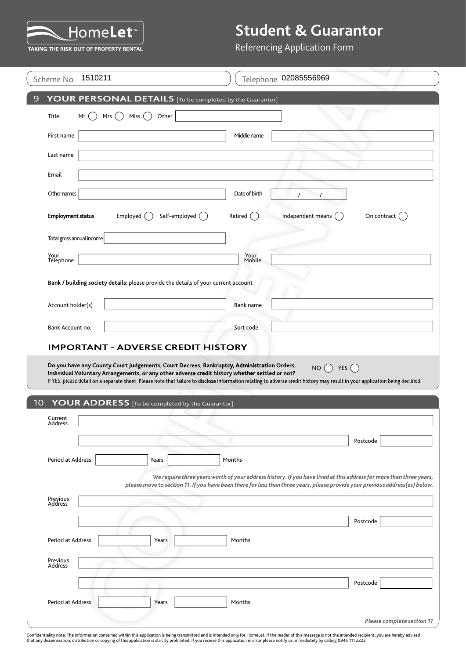

### Referencing Application Form

|                           | <b>TAKING THE RISK OUT OF PROPERTY RENTAL</b>                                                                                                                                                                                                   | Referencing Application Form                                                                                                                                                                                                                       |
|---------------------------|-------------------------------------------------------------------------------------------------------------------------------------------------------------------------------------------------------------------------------------------------|----------------------------------------------------------------------------------------------------------------------------------------------------------------------------------------------------------------------------------------------------|
| Scheme No. 1510211        |                                                                                                                                                                                                                                                 | Telephone 02085556969                                                                                                                                                                                                                              |
|                           | YOUR PERSONAL DETAILS [To be completed by the Guarantor]                                                                                                                                                                                        |                                                                                                                                                                                                                                                    |
| Title:<br>Mr              | Mrs $( )$<br>Miss $($ $)$<br>Other                                                                                                                                                                                                              |                                                                                                                                                                                                                                                    |
| First name                |                                                                                                                                                                                                                                                 | Middle name                                                                                                                                                                                                                                        |
| Last name                 |                                                                                                                                                                                                                                                 |                                                                                                                                                                                                                                                    |
| Email                     |                                                                                                                                                                                                                                                 |                                                                                                                                                                                                                                                    |
| Other names               |                                                                                                                                                                                                                                                 | Date of birth                                                                                                                                                                                                                                      |
| <b>Employment status</b>  | Self-employed ()<br>Employed $($                                                                                                                                                                                                                | Independent means (<br>Retired<br>On contract                                                                                                                                                                                                      |
| Total gross annual income |                                                                                                                                                                                                                                                 |                                                                                                                                                                                                                                                    |
| Your<br>Telephone         |                                                                                                                                                                                                                                                 | Your<br>Mobile                                                                                                                                                                                                                                     |
|                           | Bank / building society details: please provide the details of your current account                                                                                                                                                             |                                                                                                                                                                                                                                                    |
| Account holder(s)         |                                                                                                                                                                                                                                                 | <b>Bank name</b>                                                                                                                                                                                                                                   |
|                           |                                                                                                                                                                                                                                                 |                                                                                                                                                                                                                                                    |
| Bank Account no.          |                                                                                                                                                                                                                                                 |                                                                                                                                                                                                                                                    |
|                           | <b>IMPORTANT - ADVERSE CREDIT HISTORY</b>                                                                                                                                                                                                       | Sort code                                                                                                                                                                                                                                          |
| Current                   | Do you have any County Court Judgements, Court Decrees, Bankruptcy, Administration Orders,<br>Individual Voluntary Arrangements, or any other adverse credit history whether settled or not?<br>YOUR ADDRESS [To be completed by the Guarantor] | NO $\bigcap$ YES $\bigcap$<br>If YES, please detail on a separate sheet. Please note that failure to disclose information relating to adverse credit history may result in your application being declined.                                        |
| Address                   |                                                                                                                                                                                                                                                 |                                                                                                                                                                                                                                                    |
| Period at Address         | Years                                                                                                                                                                                                                                           | Postcode<br>Months                                                                                                                                                                                                                                 |
|                           |                                                                                                                                                                                                                                                 | We require three years worth of your address history. If you have lived at this address for more than three years,<br>please move to section 11. If you have been there for less than three years, please provide your previous address(es) below. |
| Previous<br>Address       |                                                                                                                                                                                                                                                 |                                                                                                                                                                                                                                                    |
| Period at Address         | Years                                                                                                                                                                                                                                           | Postcode<br>Months                                                                                                                                                                                                                                 |
|                           |                                                                                                                                                                                                                                                 |                                                                                                                                                                                                                                                    |
| Previous<br>Address       |                                                                                                                                                                                                                                                 |                                                                                                                                                                                                                                                    |
| Period at Address         | Years                                                                                                                                                                                                                                           | Postcode<br>Months                                                                                                                                                                                                                                 |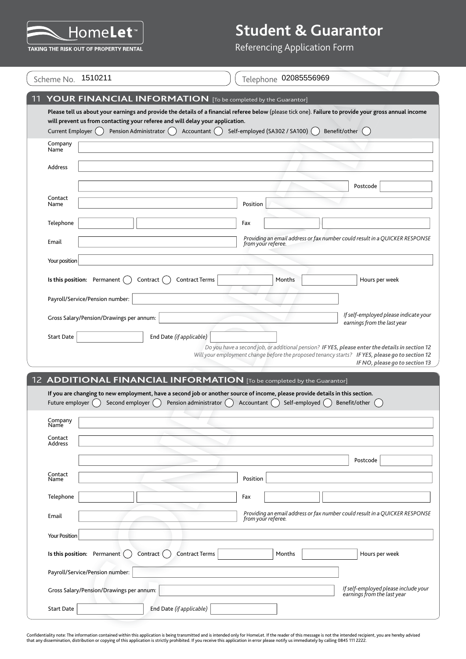

|                      | Scheme No. 1510211                                                                                        | Telephone 02085556969                                                                                                                                                                                                                |
|----------------------|-----------------------------------------------------------------------------------------------------------|--------------------------------------------------------------------------------------------------------------------------------------------------------------------------------------------------------------------------------------|
|                      |                                                                                                           | YOUR FINANCIAL INFORMATION [To be completed by the Guarantor]                                                                                                                                                                        |
| Current Employer ()  | will prevent us from contacting your referee and will delay your application.<br>Pension Administrator () | Please tell us about your earnings and provide the details of a financial referee below (please tick one). Failure to provide your gross annual income<br>Self-employed (SA302 / SA100) (<br>Benefit/other ()<br>Accountant ()       |
| Company<br>Name      |                                                                                                           |                                                                                                                                                                                                                                      |
| Address              |                                                                                                           |                                                                                                                                                                                                                                      |
|                      |                                                                                                           | Postcode                                                                                                                                                                                                                             |
| Contact<br>Name      |                                                                                                           | Position                                                                                                                                                                                                                             |
| Telephone            |                                                                                                           | Fax                                                                                                                                                                                                                                  |
| Email                |                                                                                                           | Providing an email address or fax number could result in a QUICKER RESPONSE<br>from your referee.                                                                                                                                    |
| Your position        |                                                                                                           |                                                                                                                                                                                                                                      |
|                      | Is this position: Permanent (<br>Contract                                                                 | <b>Contract Terms</b><br>Months<br>Hours per week                                                                                                                                                                                    |
|                      | Payroll/Service/Pension number:                                                                           |                                                                                                                                                                                                                                      |
|                      | Gross Salary/Pension/Drawings per annum:                                                                  | If self-employed please indicate your                                                                                                                                                                                                |
| <b>Start Date</b>    | End Date (if applicable)                                                                                  | earnings from the last year                                                                                                                                                                                                          |
|                      |                                                                                                           |                                                                                                                                                                                                                                      |
|                      |                                                                                                           |                                                                                                                                                                                                                                      |
|                      |                                                                                                           |                                                                                                                                                                                                                                      |
|                      |                                                                                                           | 12 ADDITIONAL FINANCIAL INFORMATION [To be completed by the Guarantor]                                                                                                                                                               |
| Future employer (    | Second employer $($ )                                                                                     | If you are changing to new employment, have a second job or another source of income, please provide details in this section.<br>Pension administrator $\bigcap$<br>Accountant $\bigcap$<br>Self-employed $\bigcap$<br>Benefit/other |
| Company<br>Name      |                                                                                                           |                                                                                                                                                                                                                                      |
| Contact<br>Address   |                                                                                                           | Do you have a second job, or additional pension? IF YES, please enter the details in section 12<br>Will your employment change before the proposed tenancy starts? IF YES, please go to section 12<br>IF NO, please go to section 13 |
|                      |                                                                                                           | Postcode                                                                                                                                                                                                                             |
| Contact<br>Name      |                                                                                                           | Position                                                                                                                                                                                                                             |
| Telephone            |                                                                                                           | Fax                                                                                                                                                                                                                                  |
| Email                |                                                                                                           | Providing an email address or fax number could result in a QUICKER RESPONSE<br>from your referee.                                                                                                                                    |
| <b>Your Position</b> |                                                                                                           |                                                                                                                                                                                                                                      |
|                      | Is this position: Permanent $($<br>Contract ()                                                            | <b>Contract Terms</b><br>Hours per week<br>Months                                                                                                                                                                                    |
|                      | Payroll/Service/Pension number:                                                                           |                                                                                                                                                                                                                                      |
|                      | Gross Salary/Pension/Drawings per annum:                                                                  | If self-employed please include your<br>earnings from the last year                                                                                                                                                                  |